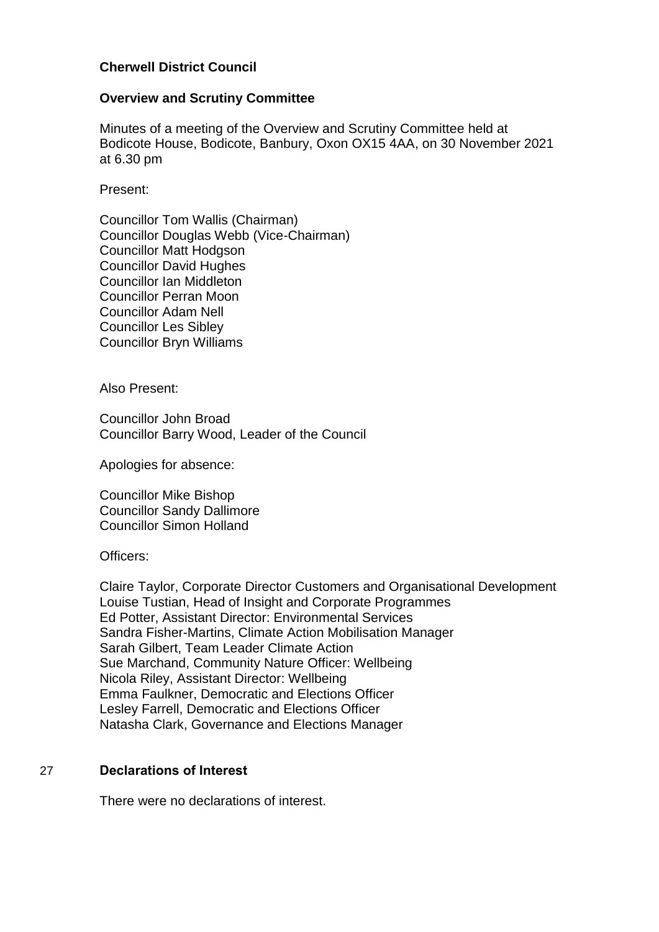## **Cherwell District Council**

### **Overview and Scrutiny Committee**

Minutes of a meeting of the Overview and Scrutiny Committee held at Bodicote House, Bodicote, Banbury, Oxon OX15 4AA, on 30 November 2021 at 6.30 pm

Present:

Councillor Tom Wallis (Chairman) Councillor Douglas Webb (Vice-Chairman) Councillor Matt Hodgson Councillor David Hughes Councillor Ian Middleton Councillor Perran Moon Councillor Adam Nell Councillor Les Sibley Councillor Bryn Williams

Also Present:

Councillor John Broad Councillor Barry Wood, Leader of the Council

Apologies for absence:

Councillor Mike Bishop Councillor Sandy Dallimore Councillor Simon Holland

Officers:

Claire Taylor, Corporate Director Customers and Organisational Development Louise Tustian, Head of Insight and Corporate Programmes Ed Potter, Assistant Director: Environmental Services Sandra Fisher-Martins, Climate Action Mobilisation Manager Sarah Gilbert, Team Leader Climate Action Sue Marchand, Community Nature Officer: Wellbeing Nicola Riley, Assistant Director: Wellbeing Emma Faulkner, Democratic and Elections Officer Lesley Farrell, Democratic and Elections Officer Natasha Clark, Governance and Elections Manager

## 27 **Declarations of Interest**

There were no declarations of interest.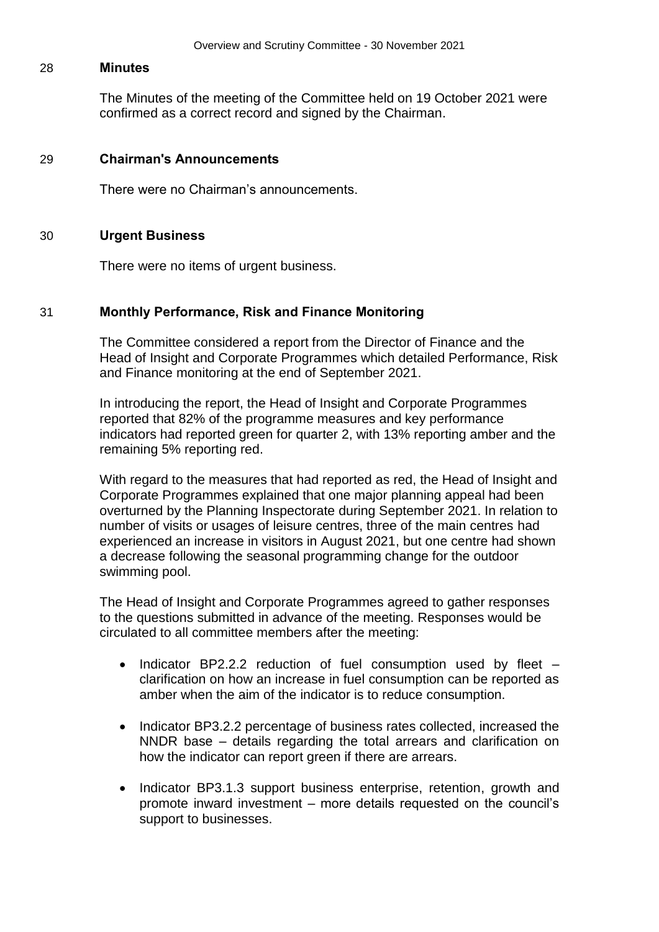#### 28 **Minutes**

The Minutes of the meeting of the Committee held on 19 October 2021 were confirmed as a correct record and signed by the Chairman.

### 29 **Chairman's Announcements**

There were no Chairman's announcements.

### 30 **Urgent Business**

There were no items of urgent business.

### 31 **Monthly Performance, Risk and Finance Monitoring**

The Committee considered a report from the Director of Finance and the Head of Insight and Corporate Programmes which detailed Performance, Risk and Finance monitoring at the end of September 2021.

In introducing the report, the Head of Insight and Corporate Programmes reported that 82% of the programme measures and key performance indicators had reported green for quarter 2, with 13% reporting amber and the remaining 5% reporting red.

With regard to the measures that had reported as red, the Head of Insight and Corporate Programmes explained that one major planning appeal had been overturned by the Planning Inspectorate during September 2021. In relation to number of visits or usages of leisure centres, three of the main centres had experienced an increase in visitors in August 2021, but one centre had shown a decrease following the seasonal programming change for the outdoor swimming pool.

The Head of Insight and Corporate Programmes agreed to gather responses to the questions submitted in advance of the meeting. Responses would be circulated to all committee members after the meeting:

- Indicator BP2.2.2 reduction of fuel consumption used by fleet  $$ clarification on how an increase in fuel consumption can be reported as amber when the aim of the indicator is to reduce consumption.
- Indicator BP3.2.2 percentage of business rates collected, increased the NNDR base – details regarding the total arrears and clarification on how the indicator can report green if there are arrears.
- Indicator BP3.1.3 support business enterprise, retention, growth and promote inward investment – more details requested on the council's support to businesses.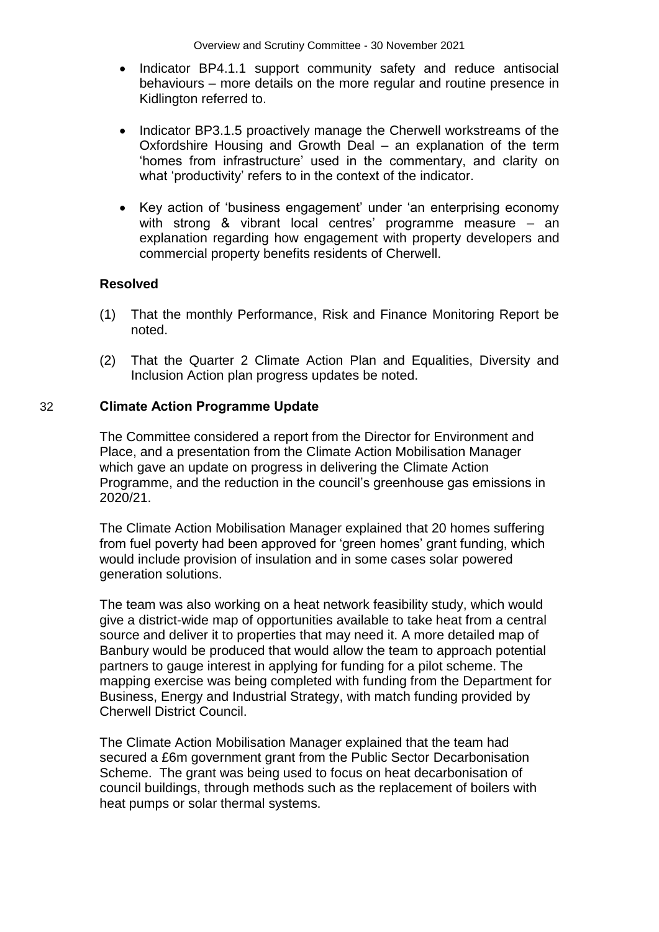- Indicator BP4.1.1 support community safety and reduce antisocial behaviours – more details on the more regular and routine presence in Kidlington referred to.
- Indicator BP3.1.5 proactively manage the Cherwell workstreams of the Oxfordshire Housing and Growth Deal – an explanation of the term 'homes from infrastructure' used in the commentary, and clarity on what 'productivity' refers to in the context of the indicator.
- Key action of 'business engagement' under 'an enterprising economy with strong & vibrant local centres' programme measure – an explanation regarding how engagement with property developers and commercial property benefits residents of Cherwell.

## **Resolved**

- (1) That the monthly Performance, Risk and Finance Monitoring Report be noted.
- (2) That the Quarter 2 Climate Action Plan and Equalities, Diversity and Inclusion Action plan progress updates be noted.

### 32 **Climate Action Programme Update**

The Committee considered a report from the Director for Environment and Place, and a presentation from the Climate Action Mobilisation Manager which gave an update on progress in delivering the Climate Action Programme, and the reduction in the council's greenhouse gas emissions in 2020/21.

The Climate Action Mobilisation Manager explained that 20 homes suffering from fuel poverty had been approved for 'green homes' grant funding, which would include provision of insulation and in some cases solar powered generation solutions.

The team was also working on a heat network feasibility study, which would give a district-wide map of opportunities available to take heat from a central source and deliver it to properties that may need it. A more detailed map of Banbury would be produced that would allow the team to approach potential partners to gauge interest in applying for funding for a pilot scheme. The mapping exercise was being completed with funding from the Department for Business, Energy and Industrial Strategy, with match funding provided by Cherwell District Council.

The Climate Action Mobilisation Manager explained that the team had secured a £6m government grant from the Public Sector Decarbonisation Scheme. The grant was being used to focus on heat decarbonisation of council buildings, through methods such as the replacement of boilers with heat pumps or solar thermal systems.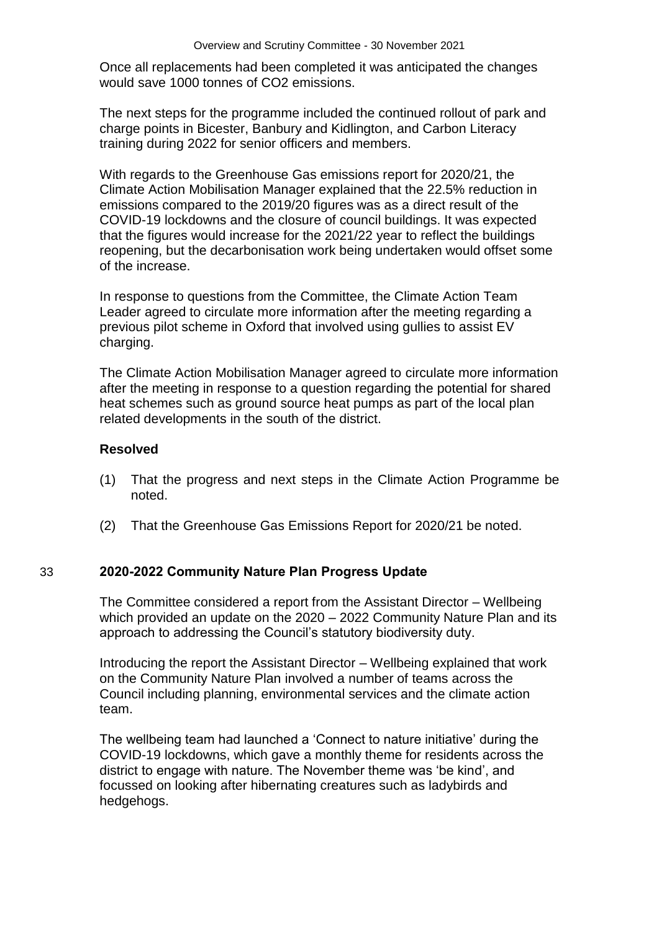Once all replacements had been completed it was anticipated the changes would save 1000 tonnes of CO2 emissions.

The next steps for the programme included the continued rollout of park and charge points in Bicester, Banbury and Kidlington, and Carbon Literacy training during 2022 for senior officers and members.

With regards to the Greenhouse Gas emissions report for 2020/21, the Climate Action Mobilisation Manager explained that the 22.5% reduction in emissions compared to the 2019/20 figures was as a direct result of the COVID-19 lockdowns and the closure of council buildings. It was expected that the figures would increase for the 2021/22 year to reflect the buildings reopening, but the decarbonisation work being undertaken would offset some of the increase.

In response to questions from the Committee, the Climate Action Team Leader agreed to circulate more information after the meeting regarding a previous pilot scheme in Oxford that involved using gullies to assist EV charging.

The Climate Action Mobilisation Manager agreed to circulate more information after the meeting in response to a question regarding the potential for shared heat schemes such as ground source heat pumps as part of the local plan related developments in the south of the district.

## **Resolved**

- (1) That the progress and next steps in the Climate Action Programme be noted.
- (2) That the Greenhouse Gas Emissions Report for 2020/21 be noted.

# 33 **2020-2022 Community Nature Plan Progress Update**

The Committee considered a report from the Assistant Director – Wellbeing which provided an update on the 2020 – 2022 Community Nature Plan and its approach to addressing the Council's statutory biodiversity duty.

Introducing the report the Assistant Director – Wellbeing explained that work on the Community Nature Plan involved a number of teams across the Council including planning, environmental services and the climate action team.

The wellbeing team had launched a 'Connect to nature initiative' during the COVID-19 lockdowns, which gave a monthly theme for residents across the district to engage with nature. The November theme was 'be kind', and focussed on looking after hibernating creatures such as ladybirds and hedgehogs.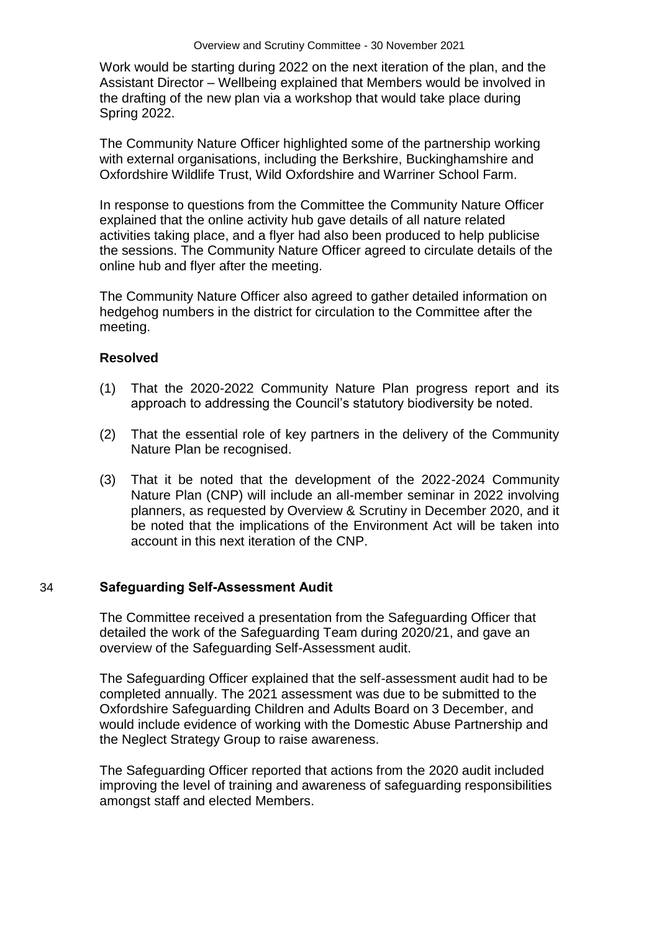Work would be starting during 2022 on the next iteration of the plan, and the Assistant Director – Wellbeing explained that Members would be involved in the drafting of the new plan via a workshop that would take place during Spring 2022.

The Community Nature Officer highlighted some of the partnership working with external organisations, including the Berkshire, Buckinghamshire and Oxfordshire Wildlife Trust, Wild Oxfordshire and Warriner School Farm.

In response to questions from the Committee the Community Nature Officer explained that the online activity hub gave details of all nature related activities taking place, and a flyer had also been produced to help publicise the sessions. The Community Nature Officer agreed to circulate details of the online hub and flyer after the meeting.

The Community Nature Officer also agreed to gather detailed information on hedgehog numbers in the district for circulation to the Committee after the meeting.

## **Resolved**

- (1) That the 2020-2022 Community Nature Plan progress report and its approach to addressing the Council's statutory biodiversity be noted.
- (2) That the essential role of key partners in the delivery of the Community Nature Plan be recognised.
- (3) That it be noted that the development of the 2022-2024 Community Nature Plan (CNP) will include an all-member seminar in 2022 involving planners, as requested by Overview & Scrutiny in December 2020, and it be noted that the implications of the Environment Act will be taken into account in this next iteration of the CNP.

### 34 **Safeguarding Self-Assessment Audit**

The Committee received a presentation from the Safeguarding Officer that detailed the work of the Safeguarding Team during 2020/21, and gave an overview of the Safeguarding Self-Assessment audit.

The Safeguarding Officer explained that the self-assessment audit had to be completed annually. The 2021 assessment was due to be submitted to the Oxfordshire Safeguarding Children and Adults Board on 3 December, and would include evidence of working with the Domestic Abuse Partnership and the Neglect Strategy Group to raise awareness.

The Safeguarding Officer reported that actions from the 2020 audit included improving the level of training and awareness of safeguarding responsibilities amongst staff and elected Members.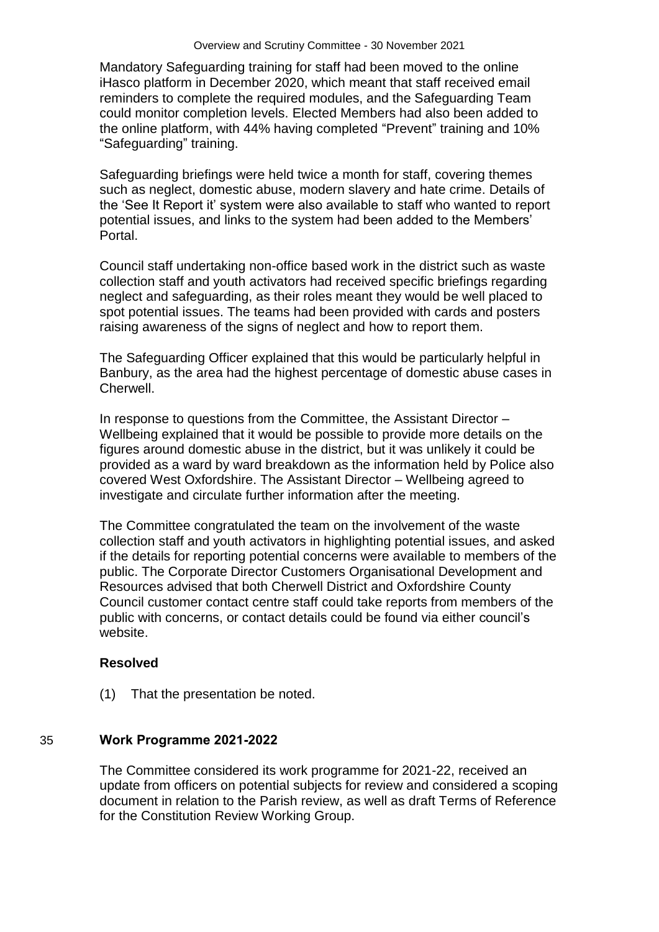Mandatory Safeguarding training for staff had been moved to the online iHasco platform in December 2020, which meant that staff received email reminders to complete the required modules, and the Safeguarding Team could monitor completion levels. Elected Members had also been added to the online platform, with 44% having completed "Prevent" training and 10% "Safeguarding" training.

Safeguarding briefings were held twice a month for staff, covering themes such as neglect, domestic abuse, modern slavery and hate crime. Details of the 'See It Report it' system were also available to staff who wanted to report potential issues, and links to the system had been added to the Members' Portal.

Council staff undertaking non-office based work in the district such as waste collection staff and youth activators had received specific briefings regarding neglect and safeguarding, as their roles meant they would be well placed to spot potential issues. The teams had been provided with cards and posters raising awareness of the signs of neglect and how to report them.

The Safeguarding Officer explained that this would be particularly helpful in Banbury, as the area had the highest percentage of domestic abuse cases in Cherwell.

In response to questions from the Committee, the Assistant Director – Wellbeing explained that it would be possible to provide more details on the figures around domestic abuse in the district, but it was unlikely it could be provided as a ward by ward breakdown as the information held by Police also covered West Oxfordshire. The Assistant Director – Wellbeing agreed to investigate and circulate further information after the meeting.

The Committee congratulated the team on the involvement of the waste collection staff and youth activators in highlighting potential issues, and asked if the details for reporting potential concerns were available to members of the public. The Corporate Director Customers Organisational Development and Resources advised that both Cherwell District and Oxfordshire County Council customer contact centre staff could take reports from members of the public with concerns, or contact details could be found via either council's website.

## **Resolved**

(1) That the presentation be noted.

## 35 **Work Programme 2021-2022**

The Committee considered its work programme for 2021-22, received an update from officers on potential subjects for review and considered a scoping document in relation to the Parish review, as well as draft Terms of Reference for the Constitution Review Working Group.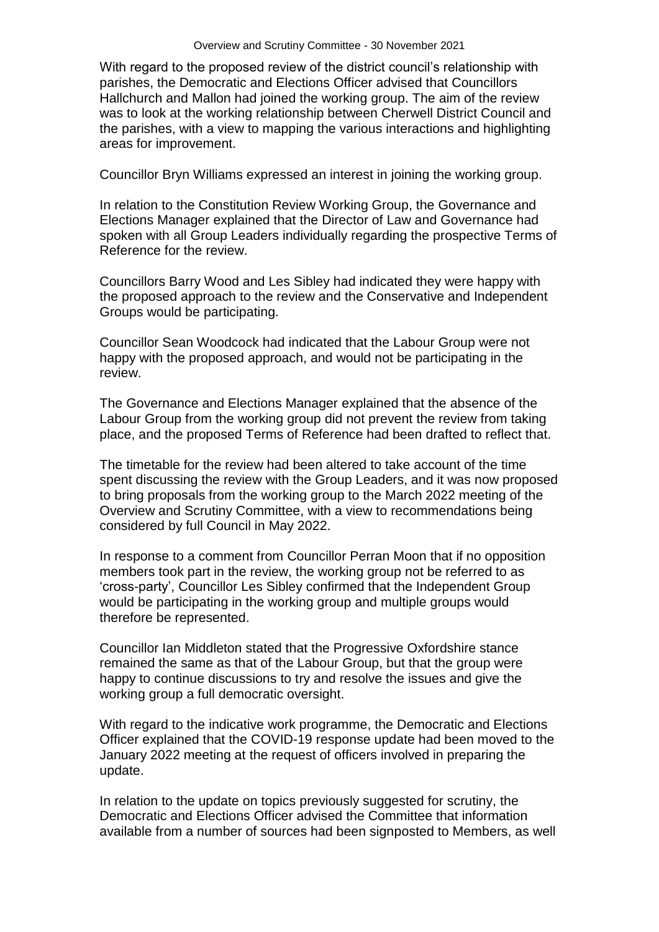With regard to the proposed review of the district council's relationship with parishes, the Democratic and Elections Officer advised that Councillors Hallchurch and Mallon had joined the working group. The aim of the review was to look at the working relationship between Cherwell District Council and the parishes, with a view to mapping the various interactions and highlighting areas for improvement.

Councillor Bryn Williams expressed an interest in joining the working group.

In relation to the Constitution Review Working Group, the Governance and Elections Manager explained that the Director of Law and Governance had spoken with all Group Leaders individually regarding the prospective Terms of Reference for the review.

Councillors Barry Wood and Les Sibley had indicated they were happy with the proposed approach to the review and the Conservative and Independent Groups would be participating.

Councillor Sean Woodcock had indicated that the Labour Group were not happy with the proposed approach, and would not be participating in the review.

The Governance and Elections Manager explained that the absence of the Labour Group from the working group did not prevent the review from taking place, and the proposed Terms of Reference had been drafted to reflect that.

The timetable for the review had been altered to take account of the time spent discussing the review with the Group Leaders, and it was now proposed to bring proposals from the working group to the March 2022 meeting of the Overview and Scrutiny Committee, with a view to recommendations being considered by full Council in May 2022.

In response to a comment from Councillor Perran Moon that if no opposition members took part in the review, the working group not be referred to as 'cross-party', Councillor Les Sibley confirmed that the Independent Group would be participating in the working group and multiple groups would therefore be represented.

Councillor Ian Middleton stated that the Progressive Oxfordshire stance remained the same as that of the Labour Group, but that the group were happy to continue discussions to try and resolve the issues and give the working group a full democratic oversight.

With regard to the indicative work programme, the Democratic and Elections Officer explained that the COVID-19 response update had been moved to the January 2022 meeting at the request of officers involved in preparing the update.

In relation to the update on topics previously suggested for scrutiny, the Democratic and Elections Officer advised the Committee that information available from a number of sources had been signposted to Members, as well